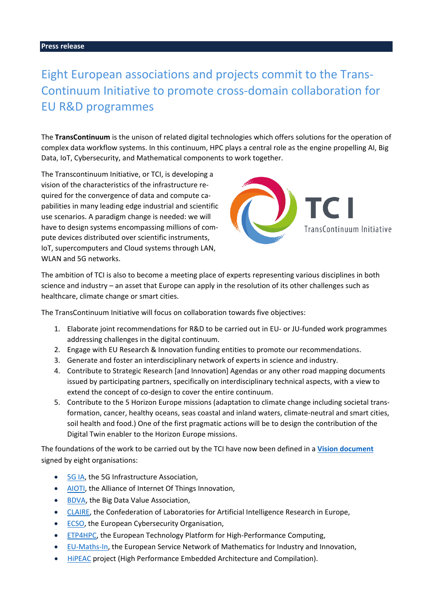## Eight European associations and projects commit to the Trans-Continuum Initiative to promote cross-domain collaboration for EU R&D programmes

The **TransContinuum** is the unison of related digital technologies which offers solutions for the operation of complex data workflow systems. In this continuum, HPC plays a central role as the engine propelling AI, Big Data, IoT, Cybersecurity, and Mathematical components to work together.

The Transcontinuum Initiative, or TCI, is developing a vision of the characteristics of the infrastructure required for the convergence of data and compute capabilities in many leading edge industrial and scientific use scenarios. A paradigm change is needed: we will have to design systems encompassing millions of compute devices distributed over scientific instruments, IoT, supercomputers and Cloud systems through LAN, WLAN and 5G networks.



The ambition of TCI is also to become a meeting place of experts representing various disciplines in both science and industry – an asset that Europe can apply in the resolution of its other challenges such as healthcare, climate change or smart cities.

The TransContinuum Initiative will focus on collaboration towards five objectives:

- 1. Elaborate joint recommendations for R&D to be carried out in EU- or JU-funded work programmes addressing challenges in the digital continuum.
- 2. Engage with EU Research & Innovation funding entities to promote our recommendations.
- 3. Generate and foster an interdisciplinary network of experts in science and industry.
- 4. Contribute to Strategic Research [and Innovation] Agendas or any other road mapping documents issued by participating partners, specifically on interdisciplinary technical aspects, with a view to extend the concept of co-design to cover the entire continuum.
- 5. Contribute to the 5 Horizon Europe missions (adaptation to climate change including societal transformation, cancer, healthy oceans, seas coastal and inland waters, climate-neutral and smart cities, soil health and food.) One of the first pragmatic actions will be to design the contribution of the Digital Twin enabler to the Horizon Europe missions.

The foundations of the work to be carried out by the TCI have now been defined in a **[Vision document](https://www.etp4hpc.eu/pujades/files/TCI-vision15-10-2020%20web.pdf)** signed by eight organisations:

- [5G IA,](https://5g-ia.eu/) the 5G Infrastructure Association,
- [AIOTI,](https://aioti.eu/) the Alliance of Internet Of Things Innovation,
- [BDVA,](https://www.bdva.eu/) the Big Data Value Association,
- [CLAIRE,](https://claire-ai.org/) the Confederation of Laboratories for Artificial Intelligence Research in Europe,
- [ECSO,](https://ecs-org.eu/) the European Cybersecurity Organisation,
- [ETP4HPC,](https://www.etp4hpc.eu/) the European Technology Platform for High-Performance Computing,
- [EU-Maths-In,](https://eu-maths-in.eu/) the European Service Network of Mathematics for Industry and Innovation,
- [HiPEAC](https://www.hipeac.net/) project (High Performance Embedded Architecture and Compilation).